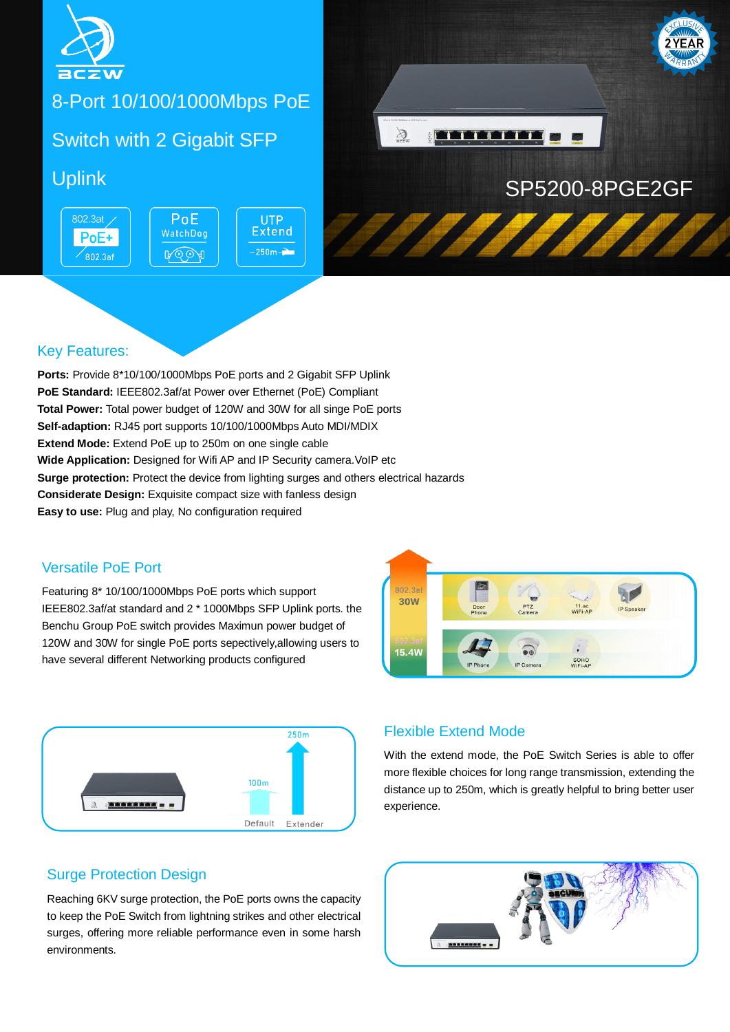

# 8-Port 10/100/1000Mbps PoE

# Switch with 2 Gigabit SFP

802.3at / PoE+  $\overline{802.3}$ af



**UTP Extend**  $250m -$ 



1111111111

### Key Features:

**Ports:** Provide 8\*10/100/1000Mbps PoE ports and 2 Gigabit SFP Uplink **PoE Standard:** IEEE802.3af/at Power over Ethernet (PoE) Compliant **Total Power:** Total power budget of 120W and 30W for all singe PoE ports **Self-adaption:** RJ45 port supports 10/100/1000Mbps Auto MDI/MDIX **Extend Mode:** Extend PoE up to 250m on one single cable **Wide Application:** Designed for Wifi AP and IP Security camera. VoIP etc **Surge protection:** Protect the device from lighting surges and others electrical hazards **Considerate Design:** Exquisite compact size with fanless design **Easy to use:** Plug and play, No configuration required

#### Versatile PoE Port

Featuring 8\* 10/100/1000Mbps PoE ports which support IEEE802.3af/at standard and 2 \* 1000Mbps SFP Uplink ports. the Benchu Group PoE switch provides Maximun power budget of 120W and 30W for single PoE ports sepectively,allowing users to have several different Networking products configured





#### Flexible Extend Mode

With the extend mode, the PoE Switch Series is able to offer more flexible choices for long range transmission, extending the distance up to 250m, which is greatly helpful to bring better user experience.

#### Surge Protection Design

Reaching 6KV surge protection, the PoE ports owns the capacity to keep the PoE Switch from lightning strikes and other electrical surges, offering more reliable performance even in some harsh environments.

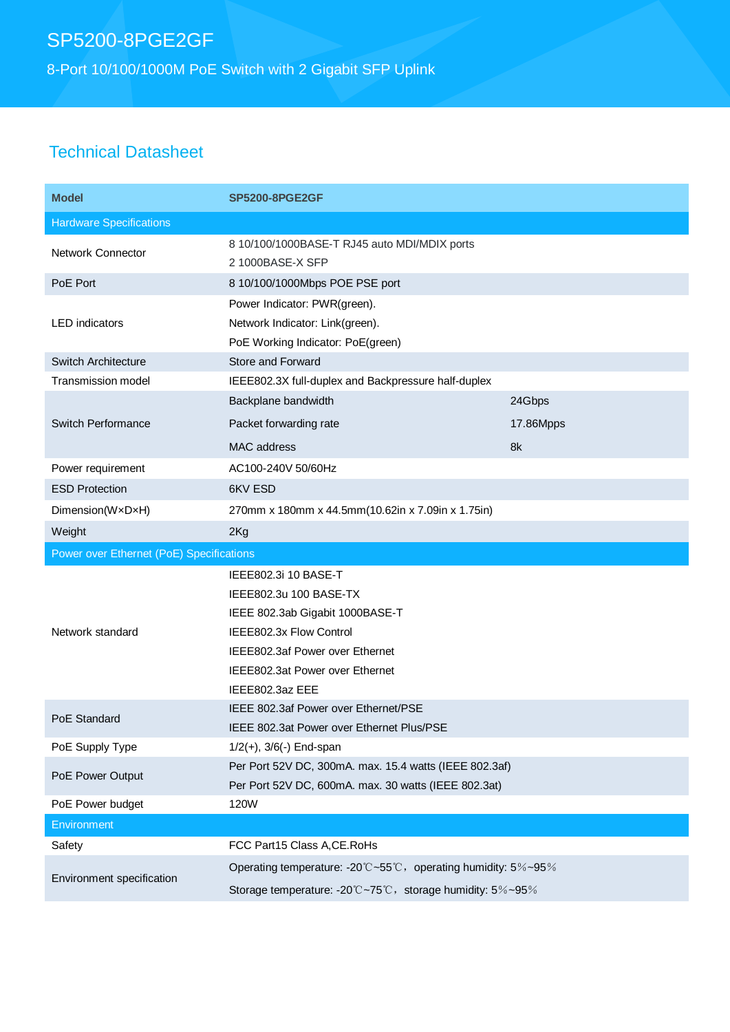# SP5200-8PGE2GF

8-Port 10/100/1000M PoE Switch with 2 Gigabit SFP Uplink

### Technical Datasheet

| <b>Model</b>                             | <b>SP5200-8PGE2GF</b>                                            |           |
|------------------------------------------|------------------------------------------------------------------|-----------|
| <b>Hardware Specifications</b>           |                                                                  |           |
| <b>Network Connector</b>                 | 8 10/100/1000BASE-T RJ45 auto MDI/MDIX ports<br>2 1000BASE-X SFP |           |
| PoE Port                                 | 8 10/100/1000Mbps POE PSE port                                   |           |
| <b>LED</b> indicators                    | Power Indicator: PWR(green).<br>Network Indicator: Link(green).  |           |
|                                          | PoE Working Indicator: PoE(green)                                |           |
| Switch Architecture                      | Store and Forward                                                |           |
| <b>Transmission model</b>                | IEEE802.3X full-duplex and Backpressure half-duplex              |           |
|                                          | Backplane bandwidth                                              | 24Gbps    |
| Switch Performance                       | Packet forwarding rate                                           | 17.86Mpps |
|                                          | MAC address                                                      | 8k        |
| Power requirement                        | AC100-240V 50/60Hz                                               |           |
| <b>ESD Protection</b>                    | 6KV ESD                                                          |           |
| Dimension(WxDxH)                         | 270mm x 180mm x 44.5mm(10.62in x 7.09in x 1.75in)                |           |
| Weight                                   | 2Kg                                                              |           |
| Power over Ethernet (PoE) Specifications |                                                                  |           |
|                                          |                                                                  |           |
|                                          | IEEE802.3i 10 BASE-T                                             |           |
|                                          | IEEE802.3u 100 BASE-TX                                           |           |
|                                          | IEEE 802.3ab Gigabit 1000BASE-T                                  |           |
| Network standard                         | IEEE802.3x Flow Control                                          |           |
|                                          | IEEE802.3af Power over Ethernet                                  |           |
|                                          | IEEE802.3at Power over Ethernet                                  |           |
|                                          | IEEE802.3az EEE                                                  |           |
| PoE Standard                             | IEEE 802.3af Power over Ethernet/PSE                             |           |
|                                          | IEEE 802.3at Power over Ethernet Plus/PSE                        |           |
| PoE Supply Type                          | $1/2(+)$ , $3/6(-)$ End-span                                     |           |
| PoE Power Output                         | Per Port 52V DC, 300mA. max. 15.4 watts (IEEE 802.3af)           |           |
|                                          | Per Port 52V DC, 600mA. max. 30 watts (IEEE 802.3at)             |           |
| PoE Power budget                         | 120W                                                             |           |
| <b>Environment</b>                       |                                                                  |           |
| Safety                                   | FCC Part15 Class A, CE. RoHs                                     |           |
| Environment specification                | Operating temperature: -20°C~55°C, operating humidity: 5%~95%    |           |